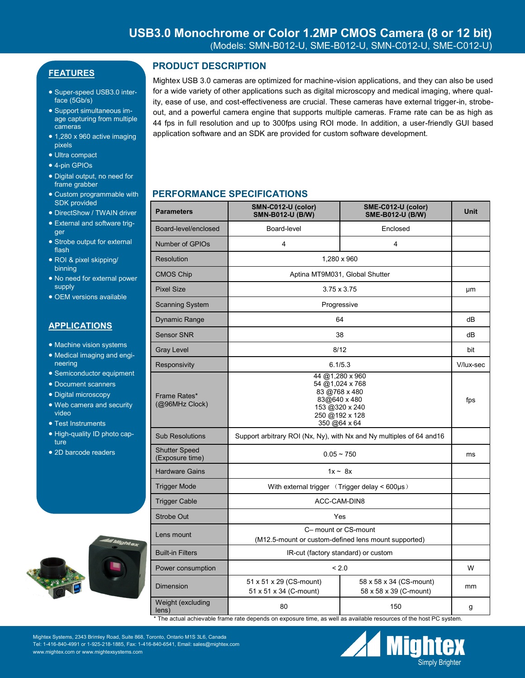# **FEATURES**

- Super-speed USB3.0 interface (5Gb/s)
- Support simultaneous image capturing from multiple cameras
- $\bullet$  1,280 x 960 active imaging pixels
- Ultra compact
- 4-pin GPIOs
- Digital output, no need for frame grabber
- Custom programmable with SDK provided
- DirectShow / TWAIN driver
- External and software trigger
- Strobe output for external flash
- ROI & pixel skipping/ binning
- No need for external power supply
- OEM versions available

### **APPLICATIONS**

- Machine vision systems
- Medical imaging and engineering
- Semiconductor equipment
- Document scanners
- Digital microscopy
- Web camera and security video
- Test Instruments
- High-quality ID photo capture
- 2D barcode readers



# **PRODUCT DESCRIPTION**

Mightex USB 3.0 cameras are optimized for machine-vision applications, and they can also be used for a wide variety of other applications such as digital microscopy and medical imaging, where quality, ease of use, and cost-effectiveness are crucial. These cameras have external trigger-in, strobeout, and a powerful camera engine that supports multiple cameras. Frame rate can be as high as 44 fps in full resolution and up to 300fps using ROI mode. In addition, a user-friendly GUI based application software and an SDK are provided for custom software development.

## **PERFORMANCE SPECIFICATIONS**

| <b>Parameters</b>                       | SMN-C012-U (color)<br><b>SMN-B012-U (B/W)</b>                                                                           | SME-C012-U (color)<br><b>SME-B012-U (B/W)</b>     | <b>Unit</b> |
|-----------------------------------------|-------------------------------------------------------------------------------------------------------------------------|---------------------------------------------------|-------------|
| Board-level/enclosed                    | Board-level                                                                                                             | Enclosed                                          |             |
| Number of GPIOs                         | 4                                                                                                                       | 4                                                 |             |
| <b>Resolution</b>                       | 1.280 x 960                                                                                                             |                                                   |             |
| <b>CMOS Chip</b>                        | Aptina MT9M031, Global Shutter                                                                                          |                                                   |             |
| <b>Pixel Size</b>                       | $3.75 \times 3.75$                                                                                                      |                                                   | μm          |
| <b>Scanning System</b>                  | Progressive                                                                                                             |                                                   |             |
| <b>Dynamic Range</b>                    | 64                                                                                                                      |                                                   | dB          |
| <b>Sensor SNR</b>                       | 38                                                                                                                      |                                                   | dB          |
| <b>Gray Level</b>                       | 8/12                                                                                                                    |                                                   | bit         |
| Responsivity                            | 6.1/5.3                                                                                                                 |                                                   | V/lux-sec   |
| Frame Rates*<br>(@96MHz Clock)          | 44 @1,280 x 960<br>54 @1,024 x 768<br>83 @768 x 480<br>83@640 x 480<br>153 @320 x 240<br>250 @192 x 128<br>350 @64 x 64 |                                                   | fps         |
| <b>Sub Resolutions</b>                  | Support arbitrary ROI (Nx, Ny), with Nx and Ny multiples of 64 and 16                                                   |                                                   |             |
| <b>Shutter Speed</b><br>(Exposure time) | $0.05 - 750$                                                                                                            |                                                   | ms          |
| <b>Hardware Gains</b>                   | $1x - 8x$                                                                                                               |                                                   |             |
| <b>Trigger Mode</b>                     | With external trigger $(Trigger$ delay < 600 $\mu s$ )                                                                  |                                                   |             |
| <b>Trigger Cable</b>                    | ACC-CAM-DIN8                                                                                                            |                                                   |             |
| <b>Strobe Out</b>                       | Yes                                                                                                                     |                                                   |             |
| Lens mount                              | C- mount or CS-mount<br>(M12.5-mount or custom-defined lens mount supported)                                            |                                                   |             |
| <b>Built-in Filters</b>                 | IR-cut (factory standard) or custom                                                                                     |                                                   |             |
| Power consumption                       | < 2.0                                                                                                                   |                                                   | W           |
| Dimension                               | 51 x 51 x 29 (CS-mount)<br>51 x 51 x 34 (C-mount)                                                                       | 58 x 58 x 34 (CS-mount)<br>58 x 58 x 39 (C-mount) | mm          |
| Weight (excluding<br>lens)              | 80                                                                                                                      | 150                                               | g           |

The actual achievable frame rate depends on exposure time, as well as available resources of the host PC system.

Mightex Systems, 2343 Brimley Road, Suite 868, Toronto, Ontario M1S 3L6, Canada Tel: 1-416-840-4991 or 1-925-218-1885, Fax: 1-416-840-6541, Email: sales@mightex.com www.mightex.com or www.mightexsystems.com

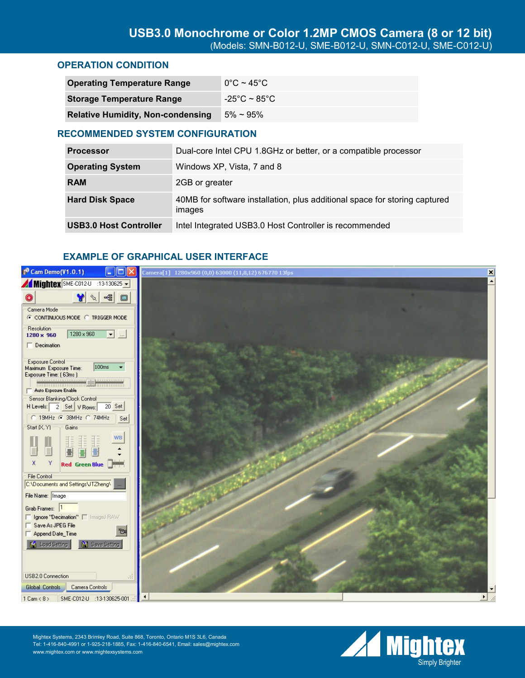### **OPERATION CONDITION**

| <b>Operating Temperature Range</b>       | $0^{\circ}$ C ~ 45 $^{\circ}$ C |
|------------------------------------------|---------------------------------|
| <b>Storage Temperature Range</b>         | -25°C ~ 85°C                    |
| <b>Relative Humidity, Non-condensing</b> | $5\% \sim 95\%$                 |

### **RECOMMENDED SYSTEM CONFIGURATION**

| <b>Processor</b>              | Dual-core Intel CPU 1.8GHz or better, or a compatible processor                      |
|-------------------------------|--------------------------------------------------------------------------------------|
| <b>Operating System</b>       | Windows XP, Vista, 7 and 8                                                           |
| <b>RAM</b>                    | 2GB or greater                                                                       |
| <b>Hard Disk Space</b>        | 40MB for software installation, plus additional space for storing captured<br>images |
| <b>USB3.0 Host Controller</b> | Intel Integrated USB3.0 Host Controller is recommended                               |

## **EXAMPLE OF GRAPHICAL USER INTERFACE**



Mightex Systems, 2343 Brimley Road, Suite 868, Toronto, Ontario M1S 3L6, Canada Tel: 1-416-840-4991 or 1-925-218-1885, Fax: 1-416-840-6541, Email: sales@mightex.com www.mightex.com or www.mightexsystems.com

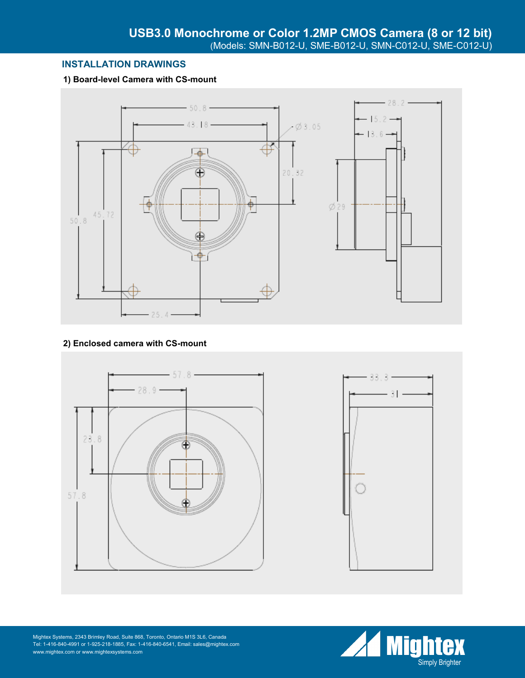## **INSTALLATION DRAWINGS**

### **1) Board-level Camera with CS-mount**



### **2) Enclosed camera with CS-mount**





Mightex Systems, 2343 Brimley Road, Suite 868, Toronto, Ontario M1S 3L6, Canada Tel: 1-416-840-4991 or 1-925-218-1885, Fax: 1-416-840-6541, Email: sales@mightex.com www.mightex.com or www.mightexsystems.com